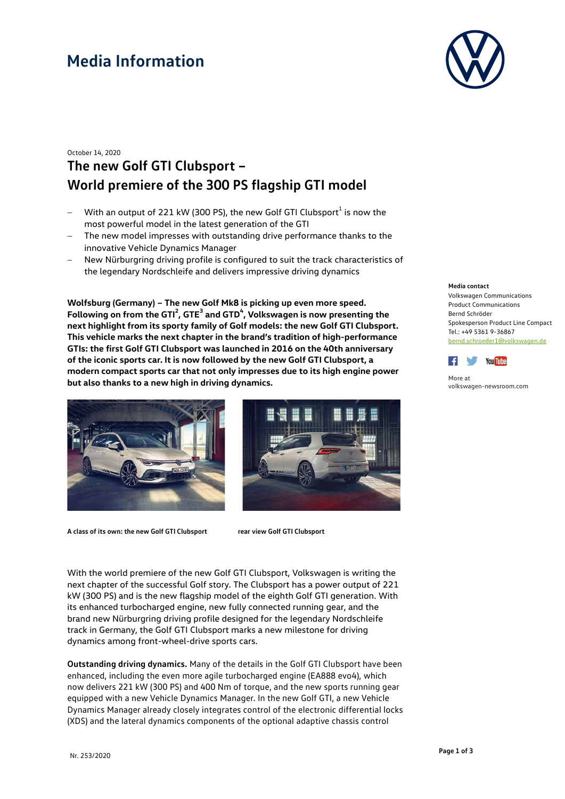## **Media Information**



### October 14, 2020 **The new Golf GTI Clubsport – World premiere of the 300 PS flagship GTI model**

- With an output of 221 kW (300 PS), the new Golf GTI Clubsport<sup>1</sup> is now the most powerful model in the latest generation of the GTI
- The new model impresses with outstanding drive performance thanks to the innovative Vehicle Dynamics Manager
- New Nürburgring driving profile is configured to suit the track characteristics of the legendary Nordschleife and delivers impressive driving dynamics

**Wolfsburg (Germany) – The new Golf Mk8 is picking up even more speed.**  Following on from the GTI<sup>2</sup>, GTE<sup>3</sup> and GTD<sup>4</sup>, Volkswagen is now presenting the **next highlight from its sporty family of Golf models: the new Golf GTI Clubsport. This vehicle marks the next chapter in the brand's tradition of high-performance GTIs: the first Golf GTI Clubsport was launched in 2016 on the 40th anniversary of the iconic sports car. It is now followed by the new Golf GTI Clubsport, a modern compact sports car that not only impresses due to its high engine power but also thanks to a new high in driving dynamics.**





**A class of its own: the new Golf GTI Clubsport rear view Golf GTI Clubsport**

With the world premiere of the new Golf GTI Clubsport, Volkswagen is writing the next chapter of the successful Golf story. The Clubsport has a power output of 221 kW (300 PS) and is the new flagship model of the eighth Golf GTI generation. With its enhanced turbocharged engine, new fully connected running gear, and the brand new Nürburgring driving profile designed for the legendary Nordschleife track in Germany, the Golf GTI Clubsport marks a new milestone for driving dynamics among front-wheel-drive sports cars.

**Outstanding driving dynamics.** Many of the details in the Golf GTI Clubsport have been enhanced, including the even more agile turbocharged engine (EA888 evo4), which now delivers 221 kW (300 PS) and 400 Nm of torque, and the new sports running gear equipped with a new Vehicle Dynamics Manager. In the new Golf GTI, a new Vehicle Dynamics Manager already closely integrates control of the electronic differential locks (XDS) and the lateral dynamics components of the optional adaptive chassis control

#### **Media contact**

Volkswagen Communications Product Communications Bernd Schröder Spokesperson Product Line Compact Tel.: +49 5361 9-36867 [bernd.schroeder1@volkswagen.de](mailto:bernd.schroeder1@volkswagen.de)



More at [volkswagen-newsroom.com](https://www.volkswagen-media-services.com/)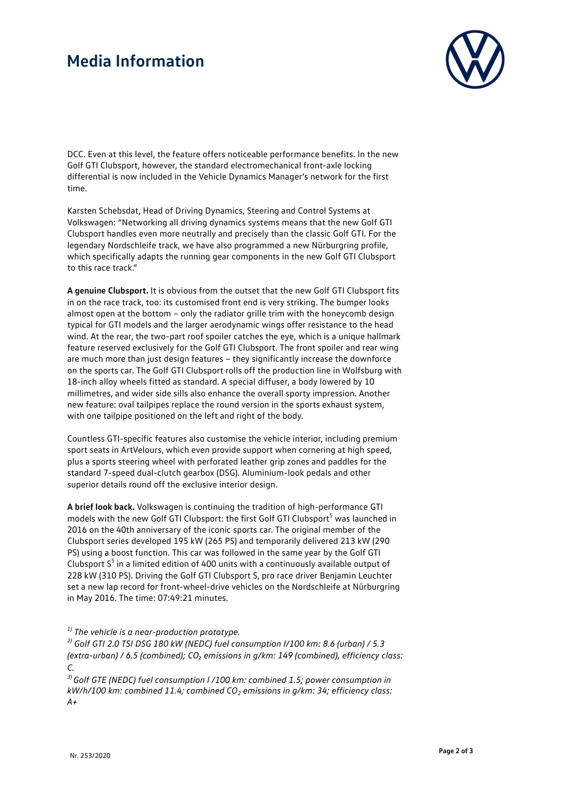### **Media Information**



DCC. Even at this level, the feature offers noticeable performance benefits. In the new Golf GTI Clubsport, however, the standard electromechanical front-axle locking differential is now included in the Vehicle Dynamics Manager's network for the first time.

Karsten Schebsdat, Head of Driving Dynamics, Steering and Control Systems at Volkswagen: "Networking all driving dynamics systems means that the new Golf GTI Clubsport handles even more neutrally and precisely than the classic Golf GTI. For the legendary Nordschleife track, we have also programmed a new Nürburgring profile, which specifically adapts the running gear components in the new Golf GTI Clubsport to this race track."

**A genuine Clubsport.** It is obvious from the outset that the new Golf GTI Clubsport fits in on the race track, too: its customised front end is very striking. The bumper looks almost open at the bottom – only the radiator grille trim with the honeycomb design typical for GTI models and the larger aerodynamic wings offer resistance to the head wind. At the rear, the two-part roof spoiler catches the eye, which is a unique hallmark feature reserved exclusively for the Golf GTI Clubsport. The front spoiler and rear wing are much more than just design features – they significantly increase the downforce on the sports car. The Golf GTI Clubsport rolls off the production line in Wolfsburg with 18-inch alloy wheels fitted as standard. A special diffuser, a body lowered by 10 millimetres, and wider side sills also enhance the overall sporty impression. Another new feature: oval tailpipes replace the round version in the sports exhaust system, with one tailpipe positioned on the left and right of the body.

Countless GTI-specific features also customise the vehicle interior, including premium sport seats in ArtVelours, which even provide support when cornering at high speed, plus a sports steering wheel with perforated leather grip zones and paddles for the standard 7-speed dual-clutch gearbox (DSG). Aluminium-look pedals and other superior details round off the exclusive interior design.

**A brief look back.** Volkswagen is continuing the tradition of high-performance GTI models with the new Golf GTI Clubsport: the first Golf GTI Clubsport<sup>5</sup> was launched in 2016 on the 40th anniversary of the iconic sports car. The original member of the Clubsport series developed 195 kW (265 PS) and temporarily delivered 213 kW (290 PS) using a boost function. This car was followed in the same year by the Golf GTI Clubsport  $S<sup>5</sup>$  in a limited edition of 400 units with a continuously available output of 228 kW (310 PS). Driving the Golf GTI Clubsport S, pro race driver Benjamin Leuchter set a new lap record for front-wheel-drive vehicles on the Nordschleife at Nürburgring in May 2016. The time: 07:49:21 minutes.

*1) The vehicle is a near-production prototype.*

*2) Golf GTI 2.0 TSI DSG 180 kW (NEDC) fuel consumption I/100 km: 8.6 (urban) / 5.3 (extra-urban) / 6.5 (combined); CO₂ emissions in g/km: 149 (combined), efficiency class: C.*

<sup>3)</sup> Golf GTE (NEDC) fuel consumption l /100 km: combined 1.5; power consumption in *kW/h/100 km: combined 11.4; combined CO2 emissions in g/km: 34; efficiency class: A+*